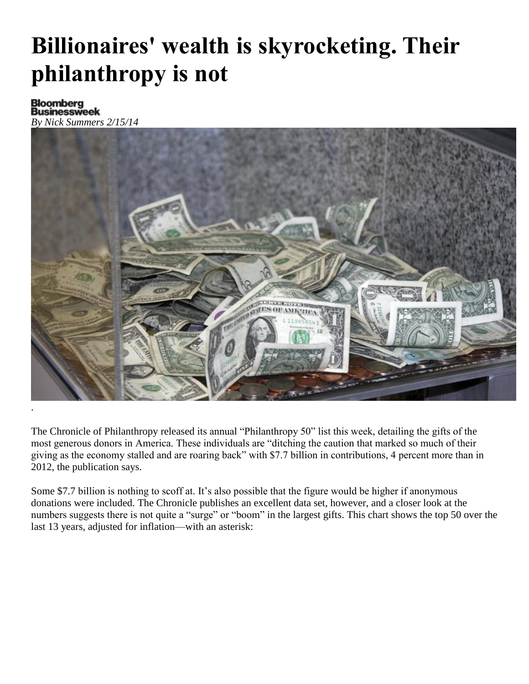## **Billionaires' wealth is skyrocketing. Their philanthropy is not**

*By Nick Summers 2/15/14*



The Chronicle of Philanthropy [released](http://philanthropy.com/article/Gifts-Surge-From-Rich-U-S/144601/) its annual "Philanthropy 50" list this week, detailing the gifts of the most generous donors in America. These individuals are "ditching the caution that marked so much of their giving as the economy stalled and are roaring back" with \$7.7 billion in contributions, 4 percent more than in 2012, the publication says.

Some \$7.7 billion is nothing to scoff at. It's also possible that the figure would be higher if anonymous donations were included. The Chronicle publishes an excellent data set, however, and a closer look at the numbers suggests there is not quite a "surge" or "boom" in the largest gifts. This chart shows the top 50 over the last 13 years, adjusted for inflation—with an asterisk: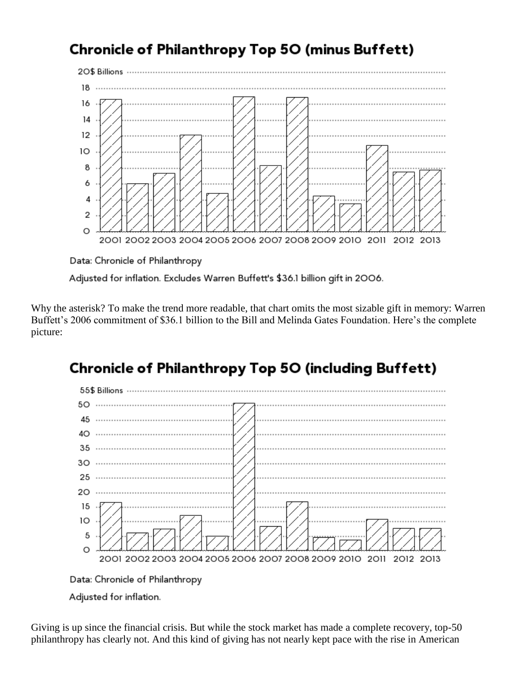## Chronicle of Philanthropy Top 50 (minus Buffett)



Data: Chronicle of Philanthropy

Adjusted for inflation. Excludes Warren Buffett's \$36.1 billion gift in 2006.

Why the asterisk? To make the trend more readable, that chart omits the most sizable gift in memory: Warren Buffett's 2006 commitment of \$36.1 billion to the Bill and Melinda Gates Foundation. Here's the complete picture:

## **Chronicle of Philanthropy Top 50 (including Buffett)**





Giving is up since the financial crisis. But while the stock market has made a complete recovery, top-50 philanthropy has clearly not. And this kind of giving has not nearly kept pace with the rise in American